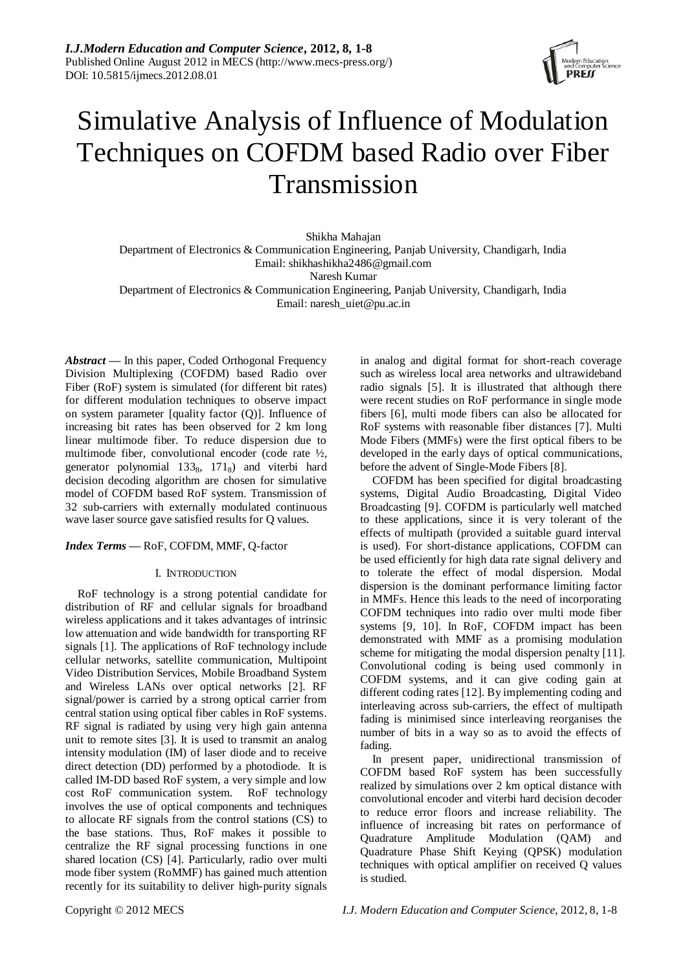

# Simulative Analysis of Influence of Modulation Techniques on COFDM based Radio over Fiber Transmission

Shikha Mahajan Department of Electronics & Communication Engineering, Panjab University, Chandigarh, India Email: shikhashikha2486@gmail.com Naresh Kumar Department of Electronics & Communication Engineering, Panjab University, Chandigarh, India Email: naresh\_uiet@pu.ac.in

*Abstract* **—** In this paper, Coded Orthogonal Frequency Division Multiplexing (COFDM) based Radio over Fiber (RoF) system is simulated (for different bit rates) for different modulation techniques to observe impact on system parameter [quality factor (Q)]. Influence of increasing bit rates has been observed for 2 km long linear multimode fiber. To reduce dispersion due to multimode fiber, convolutional encoder (code rate ½, generator polynomial 133<sub>8</sub>, 171<sub>8</sub>) and viterbi hard decision decoding algorithm are chosen for simulative model of COFDM based RoF system. Transmission of 32 sub-carriers with externally modulated continuous wave laser source gave satisfied results for Q values.

# *Index Terms* **—** RoF, COFDM, MMF, Q-factor

## I. INTRODUCTION

RoF technology is a strong potential candidate for distribution of RF and cellular signals for broadband wireless applications and it takes advantages of intrinsic low attenuation and wide bandwidth for transporting RF signals [1]. The applications of RoF technology include cellular networks, satellite communication, Multipoint Video Distribution Services, Mobile Broadband System and Wireless LANs over optical networks [2]. RF signal/power is carried by a strong optical carrier from central station using optical fiber cables in RoF systems. RF signal is radiated by using very high gain antenna unit to remote sites [3]. It is used to transmit an analog intensity modulation (IM) of laser diode and to receive direct detection (DD) performed by a photodiode. It is called IM-DD based RoF system, a very simple and low cost RoF communication system. RoF technology involves the use of optical components and techniques to allocate RF signals from the control stations (CS) to the base stations. Thus, RoF makes it possible to centralize the RF signal processing functions in one shared location (CS) [4]. Particularly, radio over multi mode fiber system (RoMMF) has gained much attention recently for its suitability to deliver high-purity signals in analog and digital format for short-reach coverage such as wireless local area networks and ultrawideband radio signals [5]. It is illustrated that although there were recent studies on RoF performance in single mode fibers [6], multi mode fibers can also be allocated for RoF systems with reasonable fiber distances [7]. Multi Mode Fibers (MMFs) were the first optical fibers to be developed in the early days of optical communications, before the advent of Single-Mode Fibers [8].

COFDM has been specified for digital broadcasting systems, Digital Audio Broadcasting, Digital Video Broadcasting [9]. COFDM is particularly well matched to these applications, since it is very tolerant of the effects of multipath (provided a suitable guard interval is used). For short-distance applications, COFDM can be used efficiently for high data rate signal delivery and to tolerate the effect of modal dispersion. Modal dispersion is the dominant performance limiting factor in MMFs. Hence this leads to the need of incorporating COFDM techniques into radio over multi mode fiber systems [9, 10]. In RoF, COFDM impact has been demonstrated with MMF as a promising modulation scheme for mitigating the modal dispersion penalty [11]. Convolutional coding is being used commonly in COFDM systems, and it can give coding gain at different coding rates [12]. By implementing coding and interleaving across sub-carriers, the effect of multipath fading is minimised since interleaving reorganises the number of bits in a way so as to avoid the effects of fading.

In present paper, unidirectional transmission of COFDM based RoF system has been successfully realized by simulations over 2 km optical distance with convolutional encoder and viterbi hard decision decoder to reduce error floors and increase reliability. The influence of increasing bit rates on performance of Quadrature Amplitude Modulation (QAM) and Quadrature Phase Shift Keying (QPSK) modulation techniques with optical amplifier on received Q values is studied.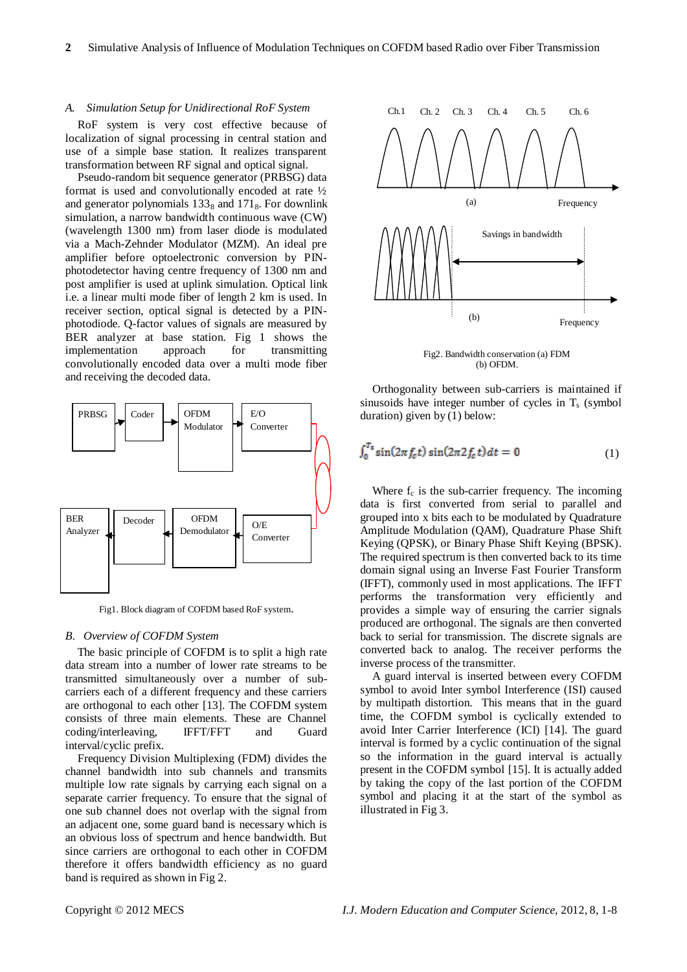#### *A. Simulation Setup for Unidirectional RoF System*

RoF system is very cost effective because of localization of signal processing in central station and use of a simple base station. It realizes transparent transformation between RF signal and optical signal.

Pseudo-random bit sequence generator (PRBSG) data format is used and convolutionally encoded at rate ½ and generator polynomials  $133<sub>8</sub>$  and  $171<sub>8</sub>$ . For downlink simulation, a narrow bandwidth continuous wave (CW) (wavelength 1300 nm) from laser diode is modulated via a Mach-Zehnder Modulator (MZM). An ideal pre amplifier before optoelectronic conversion by PINphotodetector having centre frequency of 1300 nm and post amplifier is used at uplink simulation. Optical link i.e. a linear multi mode fiber of length 2 km is used. In receiver section, optical signal is detected by a PINphotodiode. Q-factor values of signals are measured by BER analyzer at base station. Fig 1 shows the implementation approach for transmitting convolutionally encoded data over a multi mode fiber and receiving the decoded data.



Fig1. Block diagram of COFDM based RoF system.

#### *B. Overview of COFDM System*

The basic principle of COFDM is to split a high rate data stream into a number of lower rate streams to be transmitted simultaneously over a number of subcarriers each of a different frequency and these carriers are orthogonal to each other [13]. The COFDM system consists of three main elements. These are Channel coding/interleaving, IFFT/FFT and Guard interval/cyclic prefix.

Frequency Division Multiplexing (FDM) divides the channel bandwidth into sub channels and transmits multiple low rate signals by carrying each signal on a separate carrier frequency. To ensure that the signal of one sub channel does not overlap with the signal from an adjacent one, some guard band is necessary which is an obvious loss of spectrum and hence bandwidth. But since carriers are orthogonal to each other in COFDM therefore it offers bandwidth efficiency as no guard band is required as shown in Fig 2.



Fig2. Bandwidth conservation (a) FDM (b) OFDM.

Orthogonality between sub-carriers is maintained if sinusoids have integer number of cycles in  $T<sub>s</sub>$  (symbol duration) given by (1) below:

$$
\int_0^{T_s} \sin(2\pi f_c t) \sin(2\pi 2 f_c t) dt = 0 \tag{1}
$$

Where  $f_c$  is the sub-carrier frequency. The incoming data is first converted from serial to parallel and grouped into x bits each to be modulated by Quadrature Amplitude Modulation (QAM), Quadrature Phase Shift Keying (QPSK), or Binary Phase Shift Keying (BPSK). The required spectrum is then converted back to its time domain signal using an Inverse Fast Fourier Transform (IFFT), commonly used in most applications. The IFFT performs the transformation very efficiently and provides a simple way of ensuring the carrier signals produced are orthogonal. The signals are then converted back to serial for transmission. The discrete signals are converted back to analog. The receiver performs the inverse process of the transmitter.

A guard interval is inserted between every COFDM symbol to avoid Inter symbol Interference (ISI) caused by multipath distortion. This means that in the guard time, the COFDM symbol is cyclically extended to avoid Inter Carrier Interference (ICI) [14]. The guard interval is formed by a cyclic continuation of the signal so the information in the guard interval is actually present in the COFDM symbol [15]. It is actually added by taking the copy of the last portion of the COFDM symbol and placing it at the start of the symbol as illustrated in Fig 3.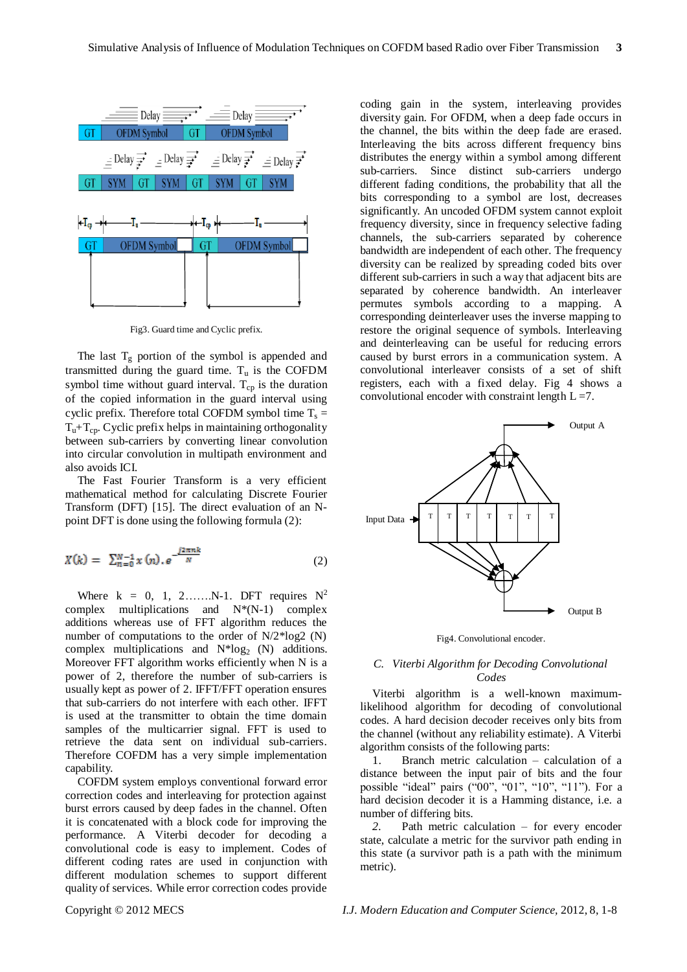

Fig3. Guard time and Cyclic prefix.

The last  $T_g$  portion of the symbol is appended and transmitted during the guard time.  $T_u$  is the COFDM symbol time without guard interval.  $T_{cp}$  is the duration of the copied information in the guard interval using cyclic prefix. Therefore total COFDM symbol time  $T_s =$  $T<sub>u</sub>+T<sub>cn</sub>$ . Cyclic prefix helps in maintaining orthogonality between sub-carriers by converting linear convolution into circular convolution in multipath environment and also avoids ICI.

The Fast Fourier Transform is a very efficient mathematical method for calculating Discrete Fourier Transform (DFT) [15]. The direct evaluation of an Npoint DFT is done using the following formula (2):

$$
X(k) = \sum_{n=0}^{N-1} x(n). e^{-\frac{j2\pi nk}{N}}
$$
 (2)

Where  $k = 0, 1, 2, \ldots, N-1$ . DFT requires  $N^2$ complex multiplications and  $N*(N-1)$  complex additions whereas use of FFT algorithm reduces the number of computations to the order of N/2\*log2 (N) complex multiplications and  $N*log_2(N)$  additions. Moreover FFT algorithm works efficiently when N is a power of 2, therefore the number of sub-carriers is usually kept as power of 2. IFFT/FFT operation ensures that sub-carriers do not interfere with each other. IFFT is used at the transmitter to obtain the time domain samples of the multicarrier signal. FFT is used to retrieve the data sent on individual sub-carriers. Therefore COFDM has a very simple implementation capability.

COFDM system employs conventional forward error correction codes and interleaving for protection against burst errors caused by deep fades in the channel. Often it is concatenated with a block code for improving the performance. A Viterbi decoder for decoding a convolutional code is easy to implement. Codes of different coding rates are used in conjunction with different modulation schemes to support different quality of services. While error correction codes provide

coding gain in the system, interleaving provides diversity gain. For OFDM, when a deep fade occurs in the channel, the bits within the deep fade are erased. Interleaving the bits across different frequency bins distributes the energy within a symbol among different sub-carriers. Since distinct sub-carriers undergo different fading conditions, the probability that all the bits corresponding to a symbol are lost, decreases significantly. An uncoded OFDM system cannot exploit frequency diversity, since in frequency selective fading channels, the sub-carriers separated by coherence bandwidth are independent of each other. The frequency diversity can be realized by spreading coded bits over different sub-carriers in such a way that adjacent bits are separated by coherence bandwidth. An interleaver permutes symbols according to a mapping. A corresponding deinterleaver uses the inverse mapping to restore the original sequence of symbols. Interleaving and deinterleaving can be useful for reducing errors caused by burst errors in a communication system. A convolutional interleaver consists of a set of shift registers, each with a fixed delay. Fig 4 shows a convolutional encoder with constraint length  $L = 7$ .



Fig4. Convolutional encoder.

### *C. Viterbi Algorithm for Decoding Convolutional Codes*

Viterbi algorithm is a well-known maximumlikelihood algorithm for decoding of convolutional codes. A hard decision decoder receives only bits from the channel (without any reliability estimate). A Viterbi algorithm consists of the following parts:

1. Branch metric calculation – calculation of a distance between the input pair of bits and the four possible "ideal" pairs ("00", "01", "10", "11"). For a hard decision decoder it is a Hamming distance, i.e. a number of differing bits.

*2.* Path metric calculation – for every encoder state, calculate a metric for the survivor path ending in this state (a survivor path is a path with the minimum metric).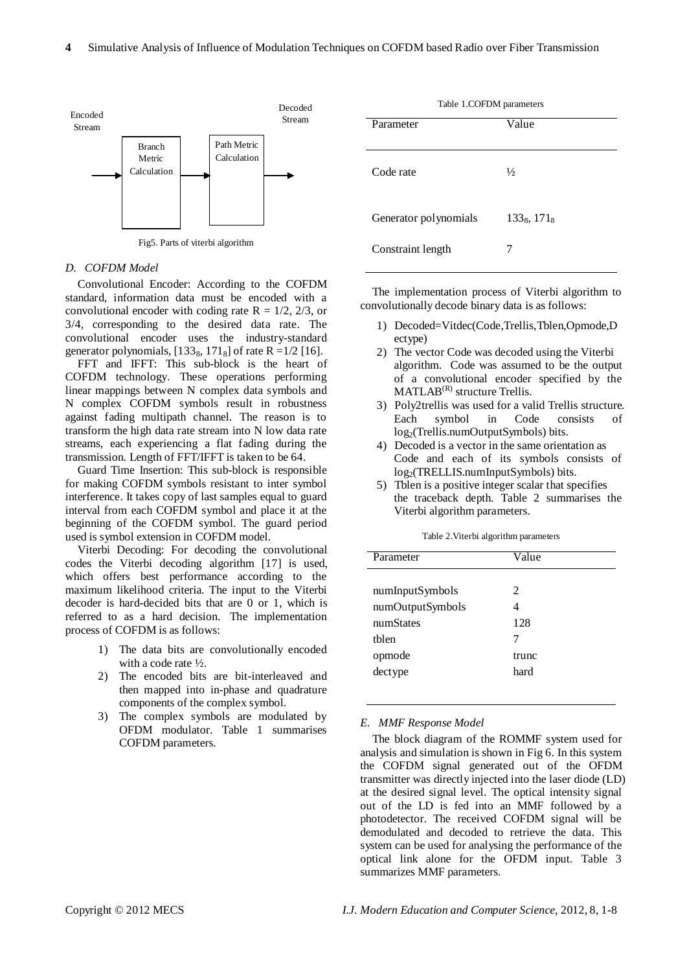

Fig5. Parts of viterbi algorithm

#### *D. COFDM Model*

Convolutional Encoder: According to the COFDM standard, information data must be encoded with a convolutional encoder with coding rate  $R = 1/2$ , 2/3, or 3/4, corresponding to the desired data rate. The convolutional encoder uses the industry-standard generator polynomials,  $[133<sub>8</sub>, 171<sub>8</sub>]$  of rate R =1/2 [16].

FFT and IFFT: This sub-block is the heart of COFDM technology. These operations performing linear mappings between N complex data symbols and N complex COFDM symbols result in robustness against fading multipath channel. The reason is to transform the high data rate stream into N low data rate streams, each experiencing a flat fading during the transmission. Length of FFT/IFFT is taken to be 64.

Guard Time Insertion: This sub-block is responsible for making COFDM symbols resistant to inter symbol interference. It takes copy of last samples equal to guard interval from each COFDM symbol and place it at the beginning of the COFDM symbol. The guard period used is symbol extension in COFDM model.

Viterbi Decoding: For decoding the convolutional codes the Viterbi decoding algorithm [17] is used, which offers best performance according to the maximum likelihood criteria. The input to the Viterbi decoder is hard-decided bits that are 0 or 1, which is referred to as a hard decision. The implementation process of COFDM is as follows:

- 1) The data bits are convolutionally encoded with a code rate ½.
- 2) The encoded bits are bit-interleaved and then mapped into in-phase and quadrature components of the complex symbol.
- 3) The complex symbols are modulated by OFDM modulator. Table 1 summarises COFDM parameters.

| Table 1.COFDM parameters |                |  |
|--------------------------|----------------|--|
| Parameter                | Value          |  |
|                          |                |  |
| Code rate                | $\frac{1}{2}$  |  |
| Generator polynomials    | $133_8, 171_8$ |  |
| Constraint length        |                |  |

The implementation process of Viterbi algorithm to convolutionally decode binary data is as follows:

- 1) Decoded=Vitdec(Code,Trellis,Tblen,Opmode,D ectype)
- 2) The vector Code was decoded using the Viterbi algorithm. Code was assumed to be the output of a convolutional encoder specified by the  $MATLAB<sup>(R)</sup> structure Trellis.$
- 3) Poly2trellis was used for a valid Trellis structure. Each symbol in Code consists of log2(Trellis.numOutputSymbols) bits.
- 4) Decoded is a vector in the same orientation as Code and each of its symbols consists of log2(TRELLIS.numInputSymbols) bits.
- 5) Tblen is a positive integer scalar that specifies the traceback depth. Table 2 summarises the Viterbi algorithm parameters.

| Parameter        | Value |
|------------------|-------|
|                  |       |
| numInputSymbols  | 2     |
| numOutputSymbols | 4     |
| numStates        | 128   |
| thlen            | 7     |
| opmode           | trunc |
| dectype          | hard  |
|                  |       |

#### *E. MMF Response Model*

The block diagram of the ROMMF system used for analysis and simulation is shown in Fig 6. In this system the COFDM signal generated out of the OFDM transmitter was directly injected into the laser diode (LD) at the desired signal level. The optical intensity signal out of the LD is fed into an MMF followed by a photodetector. The received COFDM signal will be demodulated and decoded to retrieve the data. This system can be used for analysing the performance of the optical link alone for the OFDM input. Table 3 summarizes MMF parameters.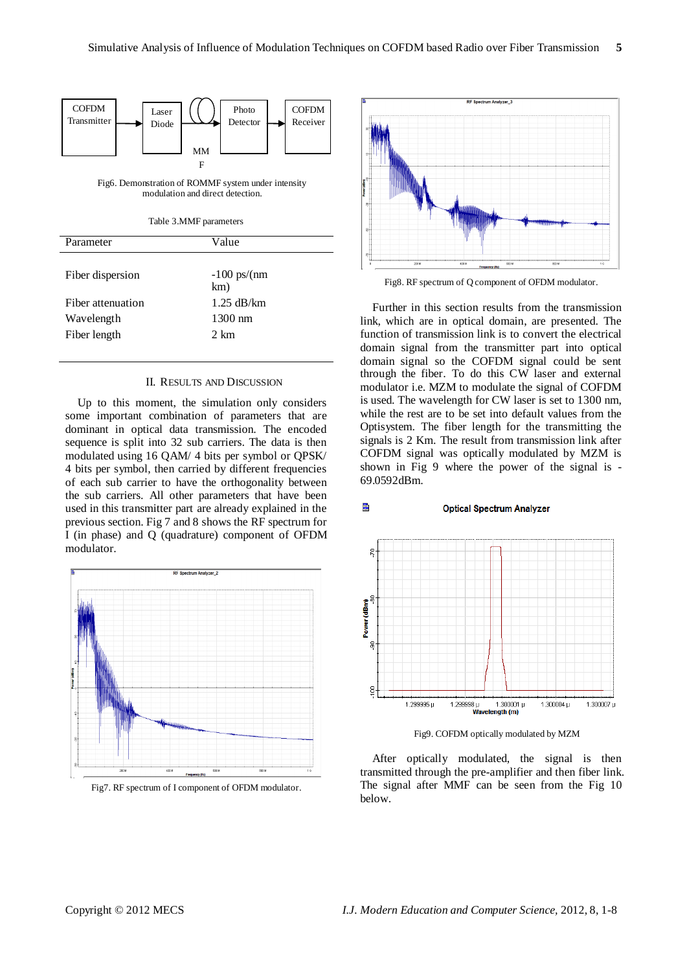E.



Fig6. Demonstration of ROMMF system under intensity modulation and direct detection.

Table 3.MMF parameters

| Parameter         | Value                         |
|-------------------|-------------------------------|
| Fiber dispersion  | $-100 \text{ ps/(nm)}$<br>km) |
| Fiber attenuation | $1.25$ dB/km                  |
| Wavelength        | $1300$ nm                     |
| Fiber length      | $2 \text{ km}$                |
|                   |                               |

#### II. RESULTS AND DISCUSSION

Up to this moment, the simulation only considers some important combination of parameters that are dominant in optical data transmission. The encoded sequence is split into 32 sub carriers. The data is then modulated using 16 QAM/ 4 bits per symbol or QPSK/ 4 bits per symbol, then carried by different frequencies of each sub carrier to have the orthogonality between the sub carriers. All other parameters that have been used in this transmitter part are already explained in the previous section. Fig 7 and 8 shows the RF spectrum for I (in phase) and Q (quadrature) component of OFDM modulator.



Fig7. RF spectrum of I component of OFDM modulator.



Fig8. RF spectrum of Q component of OFDM modulator.

Further in this section results from the transmission link, which are in optical domain, are presented. The function of transmission link is to convert the electrical domain signal from the transmitter part into optical domain signal so the COFDM signal could be sent through the fiber. To do this CW laser and external modulator i.e. MZM to modulate the signal of COFDM is used. The wavelength for CW laser is set to 1300 nm, while the rest are to be set into default values from the Optisystem. The fiber length for the transmitting the signals is 2 Km. The result from transmission link after COFDM signal was optically modulated by MZM is shown in Fig 9 where the power of the signal is - 69.0592dBm.

#### **Optical Spectrum Analyzer**



Fig9. COFDM optically modulated by MZM

After optically modulated, the signal is then transmitted through the pre-amplifier and then fiber link. The signal after MMF can be seen from the Fig 10 below.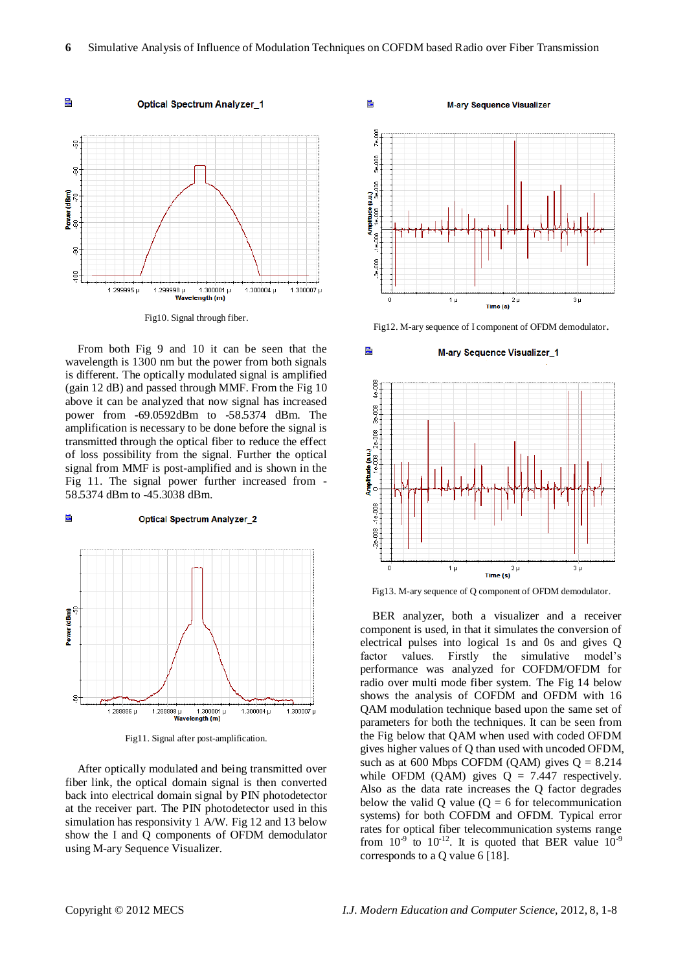E



From both Fig 9 and 10 it can be seen that the wavelength is 1300 nm but the power from both signals is different. The optically modulated signal is amplified (gain 12 dB) and passed through MMF. From the Fig 10 above it can be analyzed that now signal has increased power from -69.0592dBm to -58.5374 dBm. The amplification is necessary to be done before the signal is transmitted through the optical fiber to reduce the effect of loss possibility from the signal. Further the optical signal from MMF is post-amplified and is shown in the Fig 11. The signal power further increased from - 58.5374 dBm to -45.3038 dBm.

#### Ē. **Optical Spectrum Analyzer 2**



Fig11. Signal after post-amplification.

After optically modulated and being transmitted over fiber link, the optical domain signal is then converted back into electrical domain signal by PIN photodetector at the receiver part. The PIN photodetector used in this simulation has responsivity 1 A/W. Fig 12 and 13 below show the I and Q components of OFDM demodulator using M-ary Sequence Visualizer.



Fig12. M-ary sequence of I component of OFDM demodulator.

**M-ary Sequence Visualizer\_1** 



Fig13. M-ary sequence of Q component of OFDM demodulator.

BER analyzer, both a visualizer and a receiver component is used, in that it simulates the conversion of electrical pulses into logical 1s and 0s and gives Q factor values. Firstly the simulative model's performance was analyzed for COFDM/OFDM for radio over multi mode fiber system. The Fig 14 below shows the analysis of COFDM and OFDM with 16 QAM modulation technique based upon the same set of parameters for both the techniques. It can be seen from the Fig below that QAM when used with coded OFDM gives higher values of Q than used with uncoded OFDM, such as at 600 Mbps COFDM (QAM) gives  $Q = 8.214$ while OFDM (QAM) gives  $Q = 7.447$  respectively. Also as the data rate increases the Q factor degrades below the valid Q value  $(Q = 6$  for telecommunication systems) for both COFDM and OFDM. Typical error rates for optical fiber telecommunication systems range from  $10^{-9}$  to  $10^{-12}$ . It is quoted that BER value  $10^{-9}$ corresponds to a Q value 6 [18].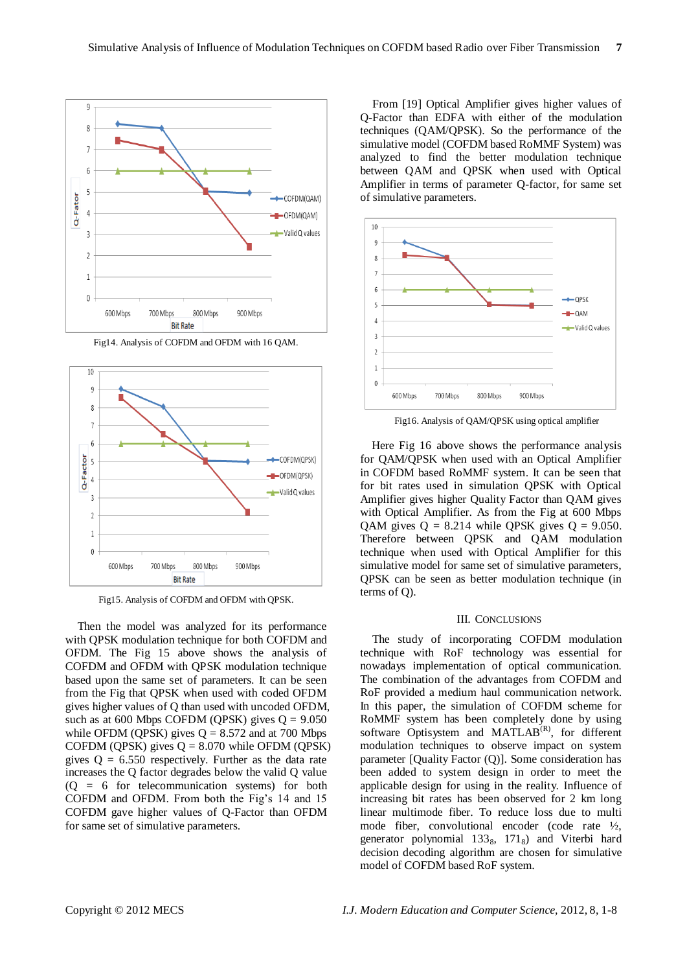

Fig14. Analysis of COFDM and OFDM with 16 QAM.



Fig15. Analysis of COFDM and OFDM with QPSK.

Then the model was analyzed for its performance with QPSK modulation technique for both COFDM and OFDM. The Fig 15 above shows the analysis of COFDM and OFDM with QPSK modulation technique based upon the same set of parameters. It can be seen from the Fig that QPSK when used with coded OFDM gives higher values of Q than used with uncoded OFDM, such as at 600 Mbps COFDM (QPSK) gives  $Q = 9.050$ while OFDM (QPSK) gives  $Q = 8.572$  and at 700 Mbps COFDM (QPSK) gives  $Q = 8.070$  while OFDM (QPSK) gives  $Q = 6.550$  respectively. Further as the data rate increases the Q factor degrades below the valid Q value  $(Q = 6$  for telecommunication systems) for both COFDM and OFDM. From both the Fig's 14 and 15 COFDM gave higher values of Q-Factor than OFDM for same set of simulative parameters.

From [19] Optical Amplifier gives higher values of Q-Factor than EDFA with either of the modulation techniques (QAM/QPSK). So the performance of the simulative model (COFDM based RoMMF System) was analyzed to find the better modulation technique between QAM and QPSK when used with Optical Amplifier in terms of parameter Q-factor, for same set of simulative parameters.



Fig16. Analysis of QAM/QPSK using optical amplifier

Here Fig 16 above shows the performance analysis for QAM/QPSK when used with an Optical Amplifier in COFDM based RoMMF system. It can be seen that for bit rates used in simulation QPSK with Optical Amplifier gives higher Quality Factor than QAM gives with Optical Amplifier. As from the Fig at 600 Mbps QAM gives  $Q = 8.214$  while QPSK gives  $Q = 9.050$ . Therefore between QPSK and QAM modulation technique when used with Optical Amplifier for this simulative model for same set of simulative parameters, QPSK can be seen as better modulation technique (in terms of Q).

#### III. CONCLUSIONS

The study of incorporating COFDM modulation technique with RoF technology was essential for nowadays implementation of optical communication. The combination of the advantages from COFDM and RoF provided a medium haul communication network. In this paper, the simulation of COFDM scheme for RoMMF system has been completely done by using software Optisystem and MATLAB<sup>(R)</sup>, for different modulation techniques to observe impact on system parameter [Quality Factor (Q)]. Some consideration has been added to system design in order to meet the applicable design for using in the reality. Influence of increasing bit rates has been observed for 2 km long linear multimode fiber. To reduce loss due to multi mode fiber, convolutional encoder (code rate ½, generator polynomial 133<sub>8</sub>, 171<sub>8</sub>) and Viterbi hard decision decoding algorithm are chosen for simulative model of COFDM based RoF system.